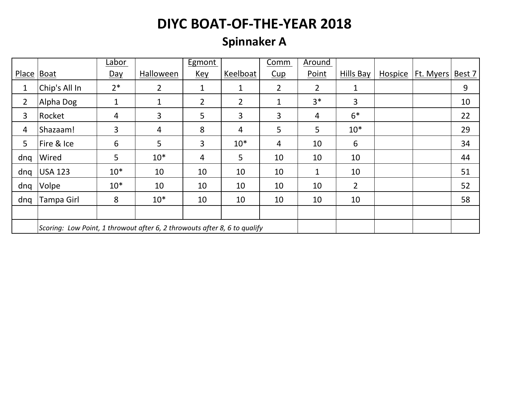### **Spinnaker A**

|                |                                                                           | Labor          |                | Egmont         |                | Comm           | Around         |                |                |           |        |
|----------------|---------------------------------------------------------------------------|----------------|----------------|----------------|----------------|----------------|----------------|----------------|----------------|-----------|--------|
| Place Boat     |                                                                           | Day            | Halloween      | <u>Key</u>     | Keelboat       | Cup            | Point          | Hills Bay      | <b>Hospice</b> | Ft. Myers | Best 7 |
| 1              | Chip's All In                                                             | $2*$           | $\overline{2}$ | 1              | 1              | $\overline{2}$ | 2              | 1              |                |           | 9      |
| $\overline{2}$ | Alpha Dog                                                                 | 1              | $\mathbf{1}$   | $\overline{2}$ | $\overline{2}$ | $\mathbf{1}$   | $3*$           | 3              |                |           | 10     |
| 3              | Rocket                                                                    | $\overline{4}$ | 3              | 5              | 3              | 3              | $\overline{4}$ | $6*$           |                |           | 22     |
| 4              | Shazaam!                                                                  | 3              | 4              | 8              | 4              | 5              | 5              | $10*$          |                |           | 29     |
| 5              | Fire & Ice                                                                | 6              | 5              | 3              | $10*$          | 4              | 10             | 6              |                |           | 34     |
| dnq            | Wired                                                                     | 5              | $10*$          | 4              | 5              | 10             | 10             | 10             |                |           | 44     |
| dnq            | <b>USA 123</b>                                                            | $10*$          | 10             | 10             | 10             | 10             | $\mathbf{1}$   | 10             |                |           | 51     |
| dnq            | Volpe                                                                     | $10*$          | 10             | 10             | 10             | 10             | 10             | $\overline{2}$ |                |           | 52     |
| dng            | Tampa Girl                                                                | 8              | $10*$          | 10             | 10             | 10             | 10             | 10             |                |           | 58     |
|                |                                                                           |                |                |                |                |                |                |                |                |           |        |
|                | Scoring: Low Point, 1 throwout after 6, 2 throwouts after 8, 6 to qualify |                |                |                |                |                |                |                |                |           |        |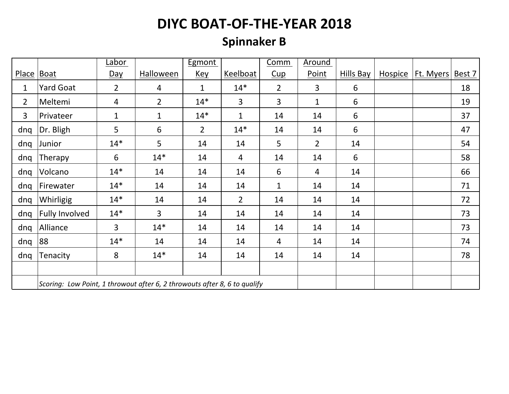### **Spinnaker B**

|                |                                                                           | Labor          |                | Egmont         |                | Comm           | Around         |           |                     |        |
|----------------|---------------------------------------------------------------------------|----------------|----------------|----------------|----------------|----------------|----------------|-----------|---------------------|--------|
| <b>Place</b>   | Boat                                                                      | $Day$          | Halloween      | <u>Key</u>     | Keelboat       | Cup            | Point          | Hills Bay | Hospice   Ft. Myers | Best 7 |
| 1              | <b>Yard Goat</b>                                                          | $2^{\circ}$    | $\overline{4}$ | $\mathbf 1$    | $14*$          | $\overline{2}$ | 3              | 6         |                     | 18     |
| $\overline{2}$ | Meltemi                                                                   | $\overline{4}$ | $\overline{2}$ | $14*$          | $\overline{3}$ | 3              | $\mathbf{1}$   | 6         |                     | 19     |
| 3              | Privateer                                                                 | $\mathbf{1}$   | $\mathbf{1}$   | $14*$          | $\mathbf{1}$   | 14             | 14             | 6         |                     | 37     |
| dnq            | Dr. Bligh                                                                 | 5              | 6              | $\overline{2}$ | $14*$          | 14             | 14             | 6         |                     | 47     |
| dnq            | Junior                                                                    | $14*$          | 5              | 14             | 14             | 5              | $\overline{2}$ | 14        |                     | 54     |
| dnq            | Therapy                                                                   | 6              | $14*$          | 14             | $\overline{4}$ | 14             | 14             | 6         |                     | 58     |
| dnq            | Volcano                                                                   | $14*$          | 14             | 14             | 14             | 6              | $\overline{4}$ | 14        |                     | 66     |
| dnq            | Firewater                                                                 | $14*$          | 14             | 14             | 14             | $\mathbf{1}$   | 14             | 14        |                     | 71     |
| dnq            | Whirligig                                                                 | $14*$          | 14             | 14             | $\overline{2}$ | 14             | 14             | 14        |                     | 72     |
| dnq            | <b>Fully Involved</b>                                                     | $14*$          | 3              | 14             | 14             | 14             | 14             | 14        |                     | 73     |
| dnq            | Alliance                                                                  | 3              | $14*$          | 14             | 14             | 14             | 14             | 14        |                     | 73     |
| dnq            | 88                                                                        | $14*$          | 14             | 14             | 14             | 4              | 14             | 14        |                     | 74     |
| dnq            | Tenacity                                                                  | 8              | $14*$          | 14             | 14             | 14             | 14             | 14        |                     | 78     |
|                |                                                                           |                |                |                |                |                |                |           |                     |        |
|                | Scoring: Low Point, 1 throwout after 6, 2 throwouts after 8, 6 to qualify |                |                |                |                |                |                |           |                     |        |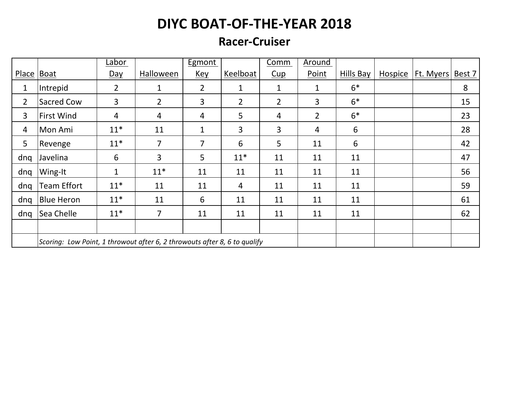#### **Racer-Cruiser**

|                |                                                                           | Labor          |                | <b>Egmont</b>  |                | Comm           | Around         |           |                |                  |        |
|----------------|---------------------------------------------------------------------------|----------------|----------------|----------------|----------------|----------------|----------------|-----------|----------------|------------------|--------|
| Place Boat     |                                                                           | Day            | Halloween      | Key            | Keelboat       | Cup            | Point          | Hills Bay | <b>Hospice</b> | <b>Ft. Myers</b> | Best 7 |
| 1              | Intrepid                                                                  | $\overline{2}$ | 1              | $\overline{2}$ | $\mathbf 1$    | $\mathbf{1}$   | $\mathbf{1}$   | $6*$      |                |                  | 8      |
| $\overline{2}$ | <b>Sacred Cow</b>                                                         | 3              | $\overline{2}$ | 3              | $\overline{2}$ | $\overline{2}$ | 3              | $6*$      |                |                  | 15     |
| 3              | <b>First Wind</b>                                                         | $\overline{4}$ | 4              | 4              | 5              | $\overline{4}$ | $\overline{2}$ | $6*$      |                |                  | 23     |
| 4              | Mon Ami                                                                   | $11*$          | 11             | $\mathbf 1$    | 3              | 3              | $\overline{4}$ | 6         |                |                  | 28     |
| 5              | Revenge                                                                   | $11*$          | 7              | 7              | 6              | 5              | 11             | 6         |                |                  | 42     |
| dnq            | Javelina                                                                  | 6              | 3              | 5              | $11*$          | 11             | 11             | 11        |                |                  | 47     |
| dng            | Wing-It                                                                   | $\mathbf{1}$   | $11*$          | 11             | 11             | 11             | 11             | 11        |                |                  | 56     |
| dnq            | <b>Team Effort</b>                                                        | $11*$          | 11             | 11             | 4              | 11             | 11             | 11        |                |                  | 59     |
| dnq            | <b>Blue Heron</b>                                                         | $11*$          | 11             | 6              | 11             | 11             | 11             | 11        |                |                  | 61     |
| dnq            | Sea Chelle                                                                | $11*$          | $\overline{7}$ | 11             | 11             | 11             | 11             | 11        |                |                  | 62     |
|                |                                                                           |                |                |                |                |                |                |           |                |                  |        |
|                | Scoring: Low Point, 1 throwout after 6, 2 throwouts after 8, 6 to qualify |                |                |                |                |                |                |           |                |                  |        |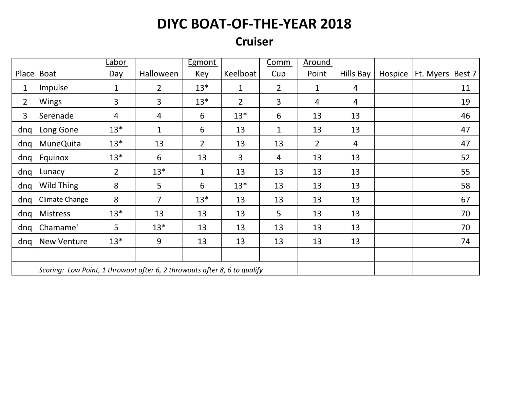#### **Cruiser**

|                |                                                                           | <u>Labor</u>   |                | <b>Egmont</b>  |                | Comm           | Around         |                |                |           |        |
|----------------|---------------------------------------------------------------------------|----------------|----------------|----------------|----------------|----------------|----------------|----------------|----------------|-----------|--------|
| <b>Place</b>   | Boat                                                                      | <u>Day</u>     | Halloween      | <u>Key</u>     | Keelboat       | Cup            | Point          | Hills Bay      | <b>Hospice</b> | Ft. Myers | Best 7 |
| $\mathbf 1$    | Impulse                                                                   | $\mathbf 1$    | $\overline{2}$ | $13*$          | $\mathbf{1}$   | $\overline{2}$ | 1              | $\overline{4}$ |                |           | 11     |
| $\overline{2}$ | Wings                                                                     | 3              | 3              | $13*$          | $\overline{2}$ | 3              | 4              | $\overline{4}$ |                |           | 19     |
| 3              | Serenade                                                                  | 4              | 4              | 6              | $13*$          | 6              | 13             | 13             |                |           | 46     |
| dnq            | Long Gone                                                                 | $13*$          | $\mathbf{1}$   | 6              | 13             | $\mathbf{1}$   | 13             | 13             |                |           | 47     |
| dnq            | <b>MuneQuita</b>                                                          | $13*$          | 13             | $\overline{2}$ | 13             | 13             | $\overline{2}$ | $\overline{4}$ |                |           | 47     |
| dnq            | Equinox                                                                   | $13*$          | 6              | 13             | 3              | 4              | 13             | 13             |                |           | 52     |
| dnq            | Lunacy                                                                    | $\overline{2}$ | $13*$          | $\mathbf 1$    | 13             | 13             | 13             | 13             |                |           | 55     |
| dnq            | Wild Thing                                                                | 8              | 5              | 6              | $13*$          | 13             | 13             | 13             |                |           | 58     |
| dnq            | Climate Change                                                            | 8              | $\overline{7}$ | $13*$          | 13             | 13             | 13             | 13             |                |           | 67     |
| dnq            | Mistress                                                                  | $13*$          | 13             | 13             | 13             | 5              | 13             | 13             |                |           | 70     |
| dnq            | Chamame'                                                                  | 5              | $13*$          | 13             | 13             | 13             | 13             | 13             |                |           | 70     |
| dnq            | <b>New Venture</b>                                                        | $13*$          | 9              | 13             | 13             | 13             | 13             | 13             |                |           | 74     |
|                |                                                                           |                |                |                |                |                |                |                |                |           |        |
|                | Scoring: Low Point, 1 throwout after 6, 2 throwouts after 8, 6 to qualify |                |                |                |                |                |                |                |                |           |        |